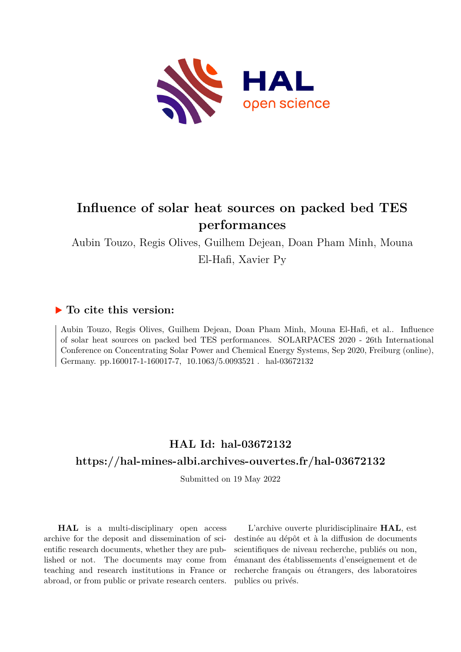

# **Influence of solar heat sources on packed bed TES performances**

Aubin Touzo, Regis Olives, Guilhem Dejean, Doan Pham Minh, Mouna El-Hafi, Xavier Py

### **To cite this version:**

Aubin Touzo, Regis Olives, Guilhem Dejean, Doan Pham Minh, Mouna El-Hafi, et al.. Influence of solar heat sources on packed bed TES performances. SOLARPACES 2020 - 26th International Conference on Concentrating Solar Power and Chemical Energy Systems, Sep 2020, Freiburg (online), Germany. pp.160017-1-160017-7, 10.1063/5.0093521. hal-03672132

### **HAL Id: hal-03672132 <https://hal-mines-albi.archives-ouvertes.fr/hal-03672132>**

Submitted on 19 May 2022

**HAL** is a multi-disciplinary open access archive for the deposit and dissemination of scientific research documents, whether they are published or not. The documents may come from teaching and research institutions in France or abroad, or from public or private research centers.

L'archive ouverte pluridisciplinaire **HAL**, est destinée au dépôt et à la diffusion de documents scientifiques de niveau recherche, publiés ou non, émanant des établissements d'enseignement et de recherche français ou étrangers, des laboratoires publics ou privés.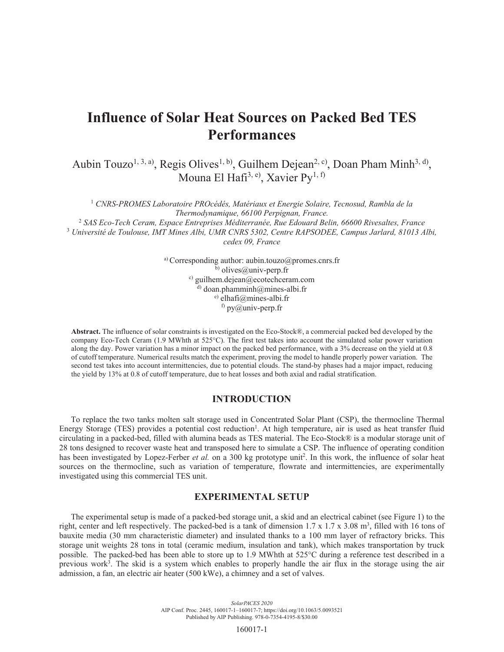## **Influence of Solar Heat Sources on Packed Bed TES Performances**

Aubin Touzo<sup>1, 3, a)</sup>, Regis Olives<sup>1, b)</sup>, Guilhem Dejean<sup>2, c)</sup>, Doan Pham Minh<sup>3, d</sup>), Mouna El Hafi<sup>3, e)</sup>, Xavier Py<sup>1, f)</sup>

<sup>1</sup> CNRS-PROMES Laboratoire PROcédés, Matériaux et Energie Solaire, Tecnosud, Rambla de la *Thermodynamique, 66100 Perpignan, France.* 2  *SAS Eco-Tech Ceram, Espace Entreprises Méditerranée, Rue Edouard Belin, 66600 Rivesaltes, France* 3  *Université de Toulouse, IMT Mines Albi, UMR CNRS 5302, Centre RAPSODEE, Campus Jarlard, 81013 Albi, cedex 09, France* 

> a) Corresponding author: aubin.touzo@promes.cnrs.fr  $\bar{b}$ ) olives@univ-perp.fr c) guilhem.dejean@ecotechceram.com  $^{d)}$  doan.phamminh@mines-albi.fr e) elhafi@mines-albi.fr  $f$ ) py $\overline{a}$ univ-perp.fr

**Abstract.** The influence of solar constraints is investigated on the Eco-Stock®, a commercial packed bed developed by the company Eco-Tech Ceram (1.9 MWhth at 525°C). The first test takes into account the simulated solar power variation along the day. Power variation has a minor impact on the packed bed performance, with a 3% decrease on the yield at 0.8 of cutoff temperature. Numerical results match the experiment, proving the model to handle properly power variation. The second test takes into account intermittencies, due to potential clouds. The stand-by phases had a major impact, reducing the yield by 13% at 0.8 of cutoff temperature, due to heat losses and both axial and radial stratification.

#### **INTRODUCTION**

To replace the two tanks molten salt storage used in Concentrated Solar Plant (CSP), the thermocline Thermal Energy Storage (TES) provides a potential cost reduction<sup>1</sup>. At high temperature, air is used as heat transfer fluid circulating in a packed-bed, filled with alumina beads as TES material. The Eco-Stock® is a modular storage unit of 28 tons designed to recover waste heat and transposed here to simulate a CSP. The influence of operating condition has been investigated by Lopez-Ferber et al. on a 300 kg prototype unit<sup>2</sup>. In this work, the influence of solar heat sources on the thermocline, such as variation of temperature, flowrate and intermittencies, are experimentally investigated using this commercial TES unit.

#### **EXPERIMENTAL SETUP**

The experimental setup is made of a packed-bed storage unit, a skid and an electrical cabinet (see Figure 1) to the right, center and left respectively. The packed-bed is a tank of dimension  $1.7 \times 1.7 \times 3.08$  m<sup>3</sup>, filled with 16 tons of bauxite media (30 mm characteristic diameter) and insulated thanks to a 100 mm layer of refractory bricks. This storage unit weights 28 tons in total (ceramic medium, insulation and tank), which makes transportation by truck possible. The packed-bed has been able to store up to 1.9 MWhth at 525°C during a reference test described in a previous work<sup>3</sup>. The skid is a system which enables to properly handle the air flux in the storage using the air admission, a fan, an electric air heater (500 kWe), a chimney and a set of valves.

160017-1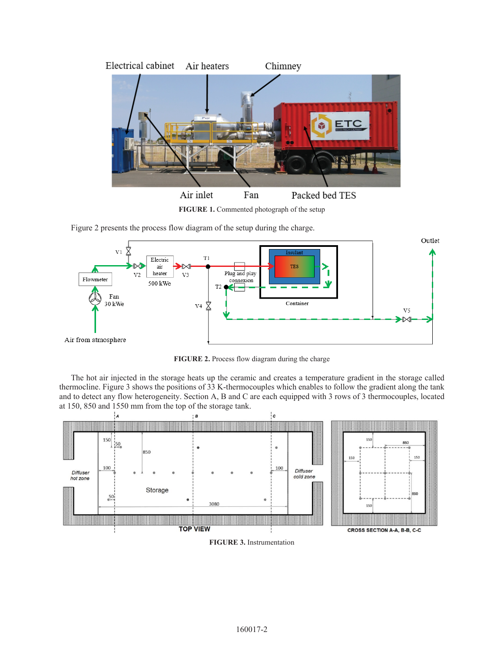

**FIGURE 1.** Commented photograph of the setup

Figure 2 presents the process flow diagram of the setup during the charge.



**FIGURE 2.** Process flow diagram during the charge

The hot air injected in the storage heats up the ceramic and creates a temperature gradient in the storage called thermocline. Figure 3 shows the positions of 33 K-thermocouples which enables to follow the gradient along the tank and to detect any flow heterogeneity. Section A, B and C are each equipped with 3 rows of 3 thermocouples, located at 150, 850 and 1550 mm from the top of the storage tank.



**FIGURE 3.** Instrumentation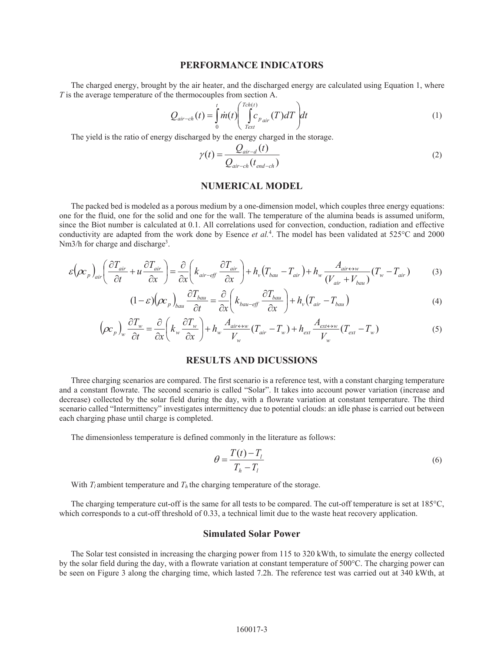#### **PERFORMANCE INDICATORS**

The charged energy, brought by the air heater, and the discharged energy are calculated using Equation 1, where *T* is the average temperature of the thermocouples from section A.

$$
Q_{air-ch}(t) = \int_{0}^{t} \dot{m}(t) \left( \int_{Text}^{Tch(t)} c_{p_{air}}(T) dT \right) dt
$$
 (1)

The yield is the ratio of energy discharged by the energy charged in the storage.

$$
\gamma(t) = \frac{Q_{air-d}(t)}{Q_{air-ch}(t_{end-ch})}
$$
\n(2)

#### **NUMERICAL MODEL**

The packed bed is modeled as a porous medium by a one-dimension model, which couples three energy equations: one for the fluid, one for the solid and one for the wall. The temperature of the alumina beads is assumed uniform, since the Biot number is calculated at 0.1. All correlations used for convection, conduction, radiation and effective conductivity are adapted from the work done by Esence *et al.*<sup>4</sup> . The model has been validated at 525°C and 2000 Nm3/h for charge and discharge<sup>3</sup>.

$$
\varepsilon \left(\rho c_p\right)_{air} \left(\frac{\partial T_{air}}{\partial t} + u \frac{\partial T_{air}}{\partial x}\right) = \frac{\partial}{\partial x} \left(k_{air-eff} \frac{\partial T_{air}}{\partial x}\right) + h_v \left(T_{bau} - T_{air}\right) + h_w \frac{A_{air \leftrightarrow w}}{\left(V_{air} + V_{bau}\right)} \left(T_w - T_{air}\right) \tag{3}
$$

$$
(1 - \varepsilon) \left(\rho c_p\right)_{bau} \frac{\partial T_{bau}}{\partial t} = \frac{\partial}{\partial x} \left(k_{bau-eff} \frac{\partial T_{bau}}{\partial x}\right) + h_v \left(T_{air} - T_{bau}\right)
$$
(4)

$$
\left(\rho c_p\right)_w \frac{\partial T_w}{\partial t} = \frac{\partial}{\partial x} \left(k_w \frac{\partial T_w}{\partial x}\right) + h_w \frac{A_{air \leftrightarrow w}}{V_w} \left(T_{air} - T_w\right) + h_{ext} \frac{A_{ext \leftrightarrow w}}{V_w} \left(T_{ext} - T_w\right) \tag{5}
$$

#### **RESULTS AND DICUSSIONS**

Three charging scenarios are compared. The first scenario is a reference test, with a constant charging temperature and a constant flowrate. The second scenario is called "Solar". It takes into account power variation (increase and decrease) collected by the solar field during the day, with a flowrate variation at constant temperature. The third scenario called "Intermittency" investigates intermittency due to potential clouds: an idle phase is carried out between each charging phase until charge is completed.

The dimensionless temperature is defined commonly in the literature as follows:

$$
\theta = \frac{T(t) - T_l}{T_h - T_l} \tag{6}
$$

With  $T_l$  ambient temperature and  $T_h$  the charging temperature of the storage.

The charging temperature cut-off is the same for all tests to be compared. The cut-off temperature is set at 185°C, which corresponds to a cut-off threshold of 0.33, a technical limit due to the waste heat recovery application.

#### **Simulated Solar Power**

The Solar test consisted in increasing the charging power from 115 to 320 kWth, to simulate the energy collected by the solar field during the day, with a flowrate variation at constant temperature of 500°C. The charging power can be seen on Figure 3 along the charging time, which lasted 7.2h. The reference test was carried out at 340 kWth, at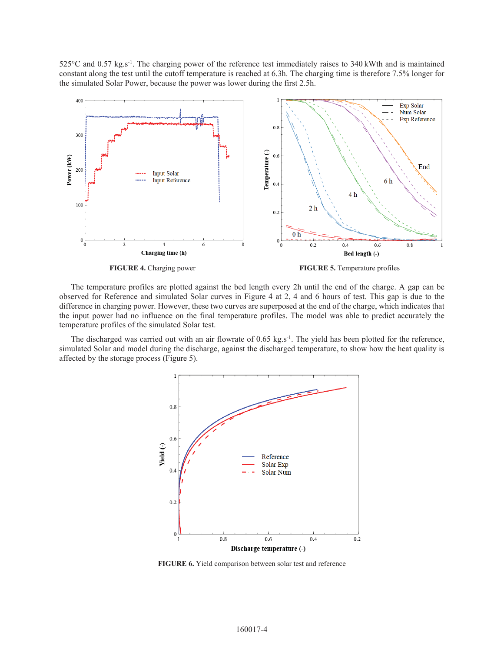525°C and 0.57 kg.s-1. The charging power of the reference test immediately raises to 340 kWth and is maintained constant along the test until the cutoff temperature is reached at 6.3h. The charging time is therefore 7.5% longer for the simulated Solar Power, because the power was lower during the first 2.5h.



**FIGURE 4.** Charging power **FIGURE 5.** Temperature profiles

The temperature profiles are plotted against the bed length every 2h until the end of the charge. A gap can be observed for Reference and simulated Solar curves in Figure 4 at 2, 4 and 6 hours of test. This gap is due to the difference in charging power. However, these two curves are superposed at the end of the charge, which indicates that the input power had no influence on the final temperature profiles. The model was able to predict accurately the temperature profiles of the simulated Solar test.

The discharged was carried out with an air flowrate of 0.65 kg.s<sup>-1</sup>. The yield has been plotted for the reference, simulated Solar and model during the discharge, against the discharged temperature, to show how the heat quality is affected by the storage process (Figure 5).



**FIGURE 6.** Yield comparison between solar test and reference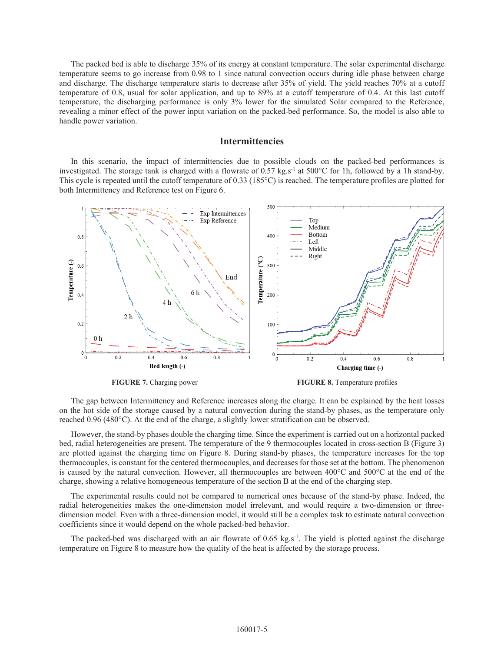The packed bed is able to discharge 35% of its energy at constant temperature. The solar experimental discharge temperature seems to go increase from 0.98 to 1 since natural convection occurs during idle phase between charge and discharge. The discharge temperature starts to decrease after 35% of yield. The yield reaches 70% at a cutoff temperature of 0.8, usual for solar application, and up to 89% at a cutoff temperature of 0.4. At this last cutoff temperature, the discharging performance is only 3% lower for the simulated Solar compared to the Reference, revealing a minor effect of the power input variation on the packed-bed performance. So, the model is also able to handle power variation.

#### **Intermittencies**

In this scenario, the impact of intermittencies due to possible clouds on the packed-bed performances is investigated. The storage tank is charged with a flowrate of 0.57 kg.s<sup>-1</sup> at 500 $^{\circ}$ C for 1h, followed by a 1h stand-by. This cycle is repeated until the cutoff temperature of 0.33 (185°C) is reached. The temperature profiles are plotted for both Intermittency and Reference test on Figure 6.



**FIGURE 7.** Charging power **FIGURE 8.** Temperature profiles

The gap between Intermittency and Reference increases along the charge. It can be explained by the heat losses on the hot side of the storage caused by a natural convection during the stand-by phases, as the temperature only reached 0.96 (480°C). At the end of the charge, a slightly lower stratification can be observed.

However, the stand-by phases double the charging time. Since the experiment is carried out on a horizontal packed bed, radial heterogeneities are present. The temperature of the 9 thermocouples located in cross-section B (Figure 3) are plotted against the charging time on Figure 8. During stand-by phases, the temperature increases for the top thermocouples, is constant for the centered thermocouples, and decreases for those set at the bottom. The phenomenon is caused by the natural convection. However, all thermocouples are between 400°C and 500°C at the end of the charge, showing a relative homogeneous temperature of the section B at the end of the charging step.

The experimental results could not be compared to numerical ones because of the stand-by phase. Indeed, the radial heterogeneities makes the one-dimension model irrelevant, and would require a two-dimension or threedimension model. Even with a three-dimension model, it would still be a complex task to estimate natural convection coefficients since it would depend on the whole packed-bed behavior.

The packed-bed was discharged with an air flowrate of 0.65 kg.s<sup>-1</sup>. The yield is plotted against the discharge temperature on Figure 8 to measure how the quality of the heat is affected by the storage process.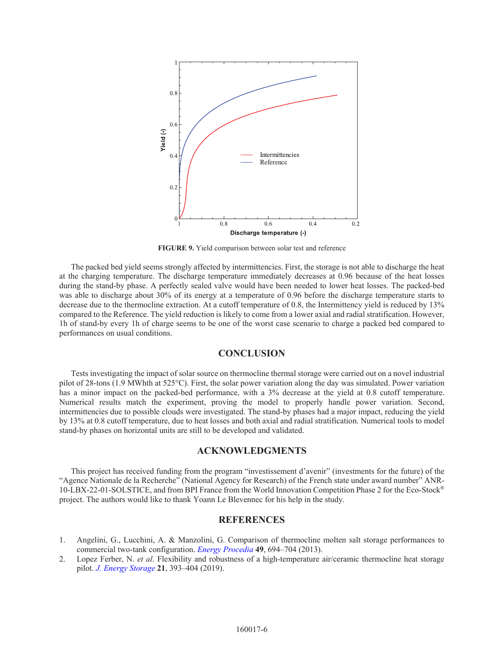

**FIGURE 9.** Yield comparison between solar test and reference

The packed bed yield seems strongly affected by intermittencies. First, the storage is not able to discharge the heat at the charging temperature. The discharge temperature immediately decreases at 0.96 because of the heat losses during the stand-by phase. A perfectly sealed valve would have been needed to lower heat losses. The packed-bed was able to discharge about 30% of its energy at a temperature of 0.96 before the discharge temperature starts to decrease due to the thermocline extraction. At a cutoff temperature of 0.8, the Intermittency yield is reduced by 13% compared to the Reference. The yield reduction is likely to come from a lower axial and radial stratification. However, 1h of stand-by every 1h of charge seems to be one of the worst case scenario to charge a packed bed compared to performances on usual conditions.

#### **CONCLUSION**

Tests investigating the impact of solar source on thermocline thermal storage were carried out on a novel industrial pilot of 28-tons (1.9 MWhth at 525°C). First, the solar power variation along the day was simulated. Power variation has a minor impact on the packed-bed performance, with a 3% decrease at the yield at 0.8 cutoff temperature. Numerical results match the experiment, proving the model to properly handle power variation. Second, intermittencies due to possible clouds were investigated. The stand-by phases had a major impact, reducing the yield by 13% at 0.8 cutoff temperature, due to heat losses and both axial and radial stratification. Numerical tools to model stand-by phases on horizontal units are still to be developed and validated.

#### **ACKNOWLEDGMENTS**

This project has received funding from the program "investissement d'avenir" (investments for the future) of the "Agence Nationale de la Recherche" (National Agency for Research) of the French state under award number" ANR-10-LBX-22-01-SOLSTICE, and from BPI France from the World Innovation Competition Phase 2 for the Eco-Stock® project. The authors would like to thank Yoann Le Blevennec for his help in the study.

#### **REFERENCES**

- 1. Angelini, G., Lucchini, A. & Manzolini, G. Comparison of thermocline molten salt storage performances to commercial two-tank configuration. *[Energy Procedia](https://doi.org/10.1016/j.egypro.2014.03.075)* **49**, 694–704 (2013).
- 2. Lopez Ferber, N. *et al.* Flexibility and robustness of a high-temperature air/ceramic thermocline heat storage pilot. *[J. Energy Storage](https://doi.org/10.1016/j.est.2018.11.034)* **21**, 393–404 (2019).